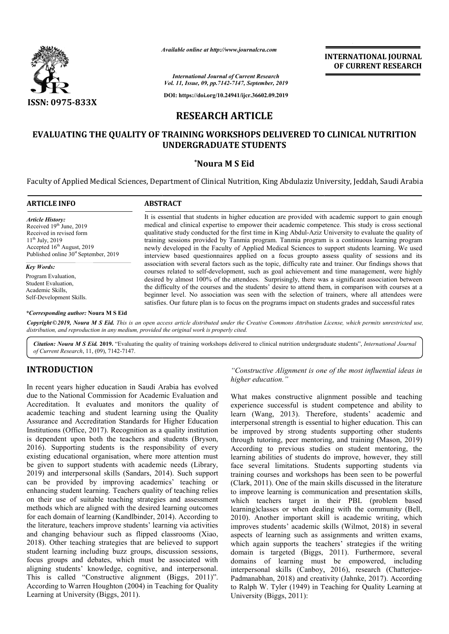

*Available*

# **RESEARCH ARTICLE**

# **EVALUATING THE QUALITY OF TRAINING WORKSHOPS DELIVERED TO CLINICAL NUTRITION OF TRAINING UNDERGRADUATE STUDENTS**

### **\*Noura M S Eid**

|                                                                                                                                                                                                                    | Available online at http://www.journalcra.com                                                                                                                                                                                                                                                                                                                                                                                                                                                                                                                                                                             | <b>INTERNATIONAL JOURNAL</b><br>OF CURRENT RESEARCH |  |  |
|--------------------------------------------------------------------------------------------------------------------------------------------------------------------------------------------------------------------|---------------------------------------------------------------------------------------------------------------------------------------------------------------------------------------------------------------------------------------------------------------------------------------------------------------------------------------------------------------------------------------------------------------------------------------------------------------------------------------------------------------------------------------------------------------------------------------------------------------------------|-----------------------------------------------------|--|--|
|                                                                                                                                                                                                                    | <b>International Journal of Current Research</b><br>Vol. 11, Issue, 09, pp.7142-7147, September, 2019                                                                                                                                                                                                                                                                                                                                                                                                                                                                                                                     |                                                     |  |  |
| <b>ISSN: 0975-833X</b>                                                                                                                                                                                             | DOI: https://doi.org/10.24941/ijcr.36602.09.2019                                                                                                                                                                                                                                                                                                                                                                                                                                                                                                                                                                          |                                                     |  |  |
|                                                                                                                                                                                                                    |                                                                                                                                                                                                                                                                                                                                                                                                                                                                                                                                                                                                                           |                                                     |  |  |
|                                                                                                                                                                                                                    | <b>RESEARCH ARTICLE</b>                                                                                                                                                                                                                                                                                                                                                                                                                                                                                                                                                                                                   |                                                     |  |  |
|                                                                                                                                                                                                                    | EVALUATING THE QUALITY OF TRAINING WORKSHOPS DELIVERED TO CLINICAL NUTRITION<br><b>UNDERGRADUATE STUDENTS</b>                                                                                                                                                                                                                                                                                                                                                                                                                                                                                                             |                                                     |  |  |
|                                                                                                                                                                                                                    | *Noura M S Eid                                                                                                                                                                                                                                                                                                                                                                                                                                                                                                                                                                                                            |                                                     |  |  |
| <b>ARTICLE INFO</b>                                                                                                                                                                                                | Faculty of Applied Medical Sciences, Department of Clinical Nutrition, King Abdulaziz University, Jeddah, Saudi Arabia<br><b>ABSTRACT</b>                                                                                                                                                                                                                                                                                                                                                                                                                                                                                 |                                                     |  |  |
|                                                                                                                                                                                                                    |                                                                                                                                                                                                                                                                                                                                                                                                                                                                                                                                                                                                                           |                                                     |  |  |
| <b>Article History:</b><br>Received 19 <sup>th</sup> June, 2019<br>Received in revised form<br>$11^{th}$ July, 2019<br>Accepted 16 <sup>th</sup> August, 2019<br>Published online 30 <sup>st</sup> September, 2019 | It is essential that students in higher education are provided with academic support to gain enough<br>medical and clinical expertise to empower their academic competence. This study is cross sectional<br>qualitative study conducted for the first time in King Abdul-Aziz University to evaluate the quality of<br>training sessions provided by Tanmia program. Tanmia program is a continuous learning program<br>newly developed in the Faculty of Applied Medical Sciences to support students learning. We used<br>interview based questionnaires applied on a focus groupto assess quality of sessions and its |                                                     |  |  |
| <b>Key Words:</b>                                                                                                                                                                                                  | association with several factors such as the topic, difficulty rate and trainer. Our findings shows that<br>courses related to self-development, such as goal achievement and time management, were highly                                                                                                                                                                                                                                                                                                                                                                                                                |                                                     |  |  |
| Program Evaluation,<br>Student Evaluation,<br>Academic Skills,<br>Self-Development Skills.                                                                                                                         | desired by almost 100% of the attendees. Surprisingly, there was a significant association between<br>the difficulty of the courses and the students' desire to attend them, in comparison with courses at a<br>beginner level. No association was seen with the selection of trainers, where all attendees were<br>satisfies. Our future plan is to focus on the programs impact on students grades and successful rates                                                                                                                                                                                                 |                                                     |  |  |
| <i>*Corresponding author:</i> Noura M S Eid                                                                                                                                                                        |                                                                                                                                                                                                                                                                                                                                                                                                                                                                                                                                                                                                                           |                                                     |  |  |
|                                                                                                                                                                                                                    | Copyright © 2019, Noura M S Eid. This is an open access article distributed under the Creative Commons Attribution License, which permits unrestricted use,<br>distribution, and reproduction in any medium, provided the original work is properly cited.                                                                                                                                                                                                                                                                                                                                                                |                                                     |  |  |
|                                                                                                                                                                                                                    | Citation: Noura M S Eid. 2019. "Evaluating the quality of training workshops delivered to clinical nutrition undergraduate students", International Journal                                                                                                                                                                                                                                                                                                                                                                                                                                                               |                                                     |  |  |

Citation: Noura M S Eid. 2019. "Evaluating the quality of training workshops delivered to clinical nutrition undergraduate students", *International Journal of Current Research*, 11, (09), 7142-7147.

# **INTRODUCTION**

In recent years higher education in Saudi Arabia has evolved due to the National Commission for Academic Evaluation and Accreditation. It evaluates and monitors the quality of academic teaching and student learning using the Quality Assurance and Accreditation Standards for Higher Education Institutions (Office, 2017). Recognition as a quality institution . is dependent upon both the teachers and students (Bryson, 2016). Supporting students is the responsibility of every . existing educational organisation, where more attention must be given to support students with academic needs (Library, 2019) and interpersonal skills (Sandars, 2014 Sandars, 2014). Such support can be provided by improving academics' teaching or enhancing student learning. Teachers quality of teaching relies on their use of suitable teaching strategies and assessment methods which are aligned with the desired learning outcomes for each domain of learning (Kandlbinder, 2014). According to the literature, teachers improve students' learning via activities and changing behaviour such as flipped classrooms (Xiao, 2018). Other teaching strategies that are believed to support student learning including buzz groups, discussion sessions, focus groups and debates, which must be associated with aligning students' knowledge, cognitive, and interpersonal. 2018). Other teaching strategies that are believed to support student learning including buzz groups, discussion sessions, focus groups and debates, which must be associated with aligning students' knowledge, cognitive, an According to Warren Houghton (2004) in Teaching for Quality Learning at University (Biggs, 2011).

"Constructive Alignment is one of the most influential ideas in *higher education."*

> What makes constructive alignment possible and teaching experience successful is student competence and ability to learn (Wang, 2013). Therefore, students' academic and interpersonal strength is essential to higher education. This can be improved by strong students supporting other students through tutoring, peer mentoring, and training (Mason, 2019) According to previous studies on student mentoring, the learning abilities of students do improve, however, they still face several limitations. Students supporting students via training courses and workshops has been (Clark, 2011). One of the main skills discussed in the literature to improve learning is communication and presentation skills, which teachers target in their PBL (problem based learning)classes or when dealing with the community 2010). Another important skill is academic writing, which 2010). Another important skill is academic writing, which improves students' academic skills (Wilmot, 2018) in several aspects of learning such as assignments and written exams, which again supports the teachers' strategies if the writing aspects of learning such as assignments and written exams, which again supports the teachers' strategies if the writing domain is targeted (Biggs, 2011). Furthermore, several domains of learning must be empowered, including interpersonal skills (Canboy, 2016), research (Chatterjee-Padmanabhan, 2018) and creativity (Jahnke, 2017). According to Ralph W. Tyler (1949) in Teaching for Quality Learning at University (Biggs, 2011): at makes constructive alignment possible and teaching<br>erience successful is student competence and ability to<br>n (Wang, 2013). Therefore, students' academic and<br>rpersonal strength is essential to higher education. This can<br> ous studies on student mentoring, the<br>students do improve, however, they still<br>ions. Students supporting students via<br>workshops has been seen to be powerful . One of the main skills discussed in the literature<br>carning is communication and presentation skills,<br>lers target in their PBL (problem based<br>less or when dealing with the community (Bell,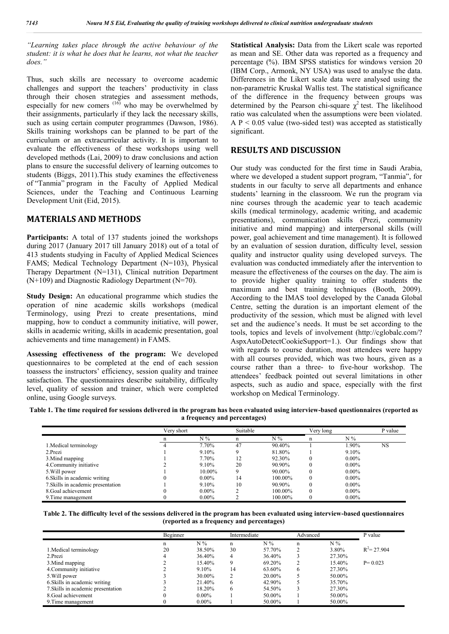*"Learning takes place through the active behaviour of the student: it is what he does that he learns, not what the teacher does."*

Thus, such skills are necessary to overcome academic challenges and support the teachers' productivity in class through their chosen strategies and assessment methods,  $\frac{1}{2}$  especially for new comers  $\frac{(16)}{10}$  who may be overwhelmed by their assignments, particularly if they lack the necessary skills, such as using certain computer programmes (Dawson, 1986). Skills training workshops can be planned to be part of the curriculum or an extracurricular activity. It is important to evaluate the effectiveness of these workshops using well developed methods (Lai, 2009) to draw conclusions and action plans to ensure the successful delivery of learning outcomes to students (Biggs, 2011).This study examines the effectiveness of "Tanmia" program in the Faculty of Applied Medical Sciences, under the Teaching and Continuous Learning Development Unit (Eid, 2015).

#### **MATERIALS AND METHODS**

Participants: A total of 137 students joined the workshops during 2017 (January 2017 till January 2018) out of a total of 413 students studying in Faculty of Applied Medical Sciences FAMS; Medical Technology Department (N=103), Physical Therapy Department (N=131), Clinical nutrition Department (N+109) and Diagnostic Radiology Department (N=70).

**Study Design:** An educational programme which studies the operation of nine academic skills workshops (medical Terminology, using Prezi to create presentations, mind mapping, how to conduct a community initiative, will power, skills in academic writing, skills in academic presentation, goal achievements and time management) in FAMS.

**Assessing effectiveness of the program:** We developed questionnaires to be completed at the end of each session toassess the instructors' efficiency, session quality and trainee satisfaction. The questionnaires describe suitability, difficulty level, quality of session and trainer, which were completed online, using Google surveys.

**Statistical Analysis:** Data from the Likert scale was reported as mean and SE. Other data was reported as a frequency and percentage (%). IBM SPSS statistics for windows version 20 (IBM Corp., Armonk, NY USA) was used to analyse the data. Differences in the Likert scale data were analysed using the non-parametric Kruskal Wallis test. The statistical significance of the difference in the frequency between groups was determined by the Pearson chi-square  $\chi^2$  test. The likelihood ratio was calculated when the assumptions were been violated. A  $P < 0.05$  value (two-sided test) was accepted as statistically significant.

#### **RESULTS AND DISCUSSION**

Our study was conducted for the first time in Saudi Arabia, where we developed a student support program, "Tanmia", for students in our faculty to serve all departments and enhance students' learning in the classroom. We run the program via nine courses through the academic year to teach academic skills (medical terminology, academic writing, and academic presentations), communication skills (Prezi, community initiative and mind mapping) and interpersonal skills (will power, goal achievement and time management). It is followed by an evaluation of session duration, difficulty level, session quality and instructor quality using developed surveys. The evaluation was conducted immediately after the intervention to measure the effectiveness of the courses on the day. The aim is to provide higher quality training to offer students the maximum and best training techniques (Booth, 2009). According to the IMAS tool developed by the Canada Global Centre, setting the duration is an important element of the productivity of the session, which must be aligned with level set and the audience's needs. It must be set according to the tools, topics and levels of involvement (http://cglobalc.com/? AspxAutoDetectCookieSupport=1.). Our findings show that with regards to course duration, most attendees were happy with all courses provided, which was two hours, given as a course rather than a three- to five-hour workshop. The attendees' feedback pointed out several limitations in other aspects, such as audio and space, especially with the first workshop on Medical Terminology.

**Table 1. The time required for sessions delivered in the program has been evaluated using interview-based questionnaires (reported as a frequency and percentages)**

|                                    | Verv short |          | Suitable |         | Very long |          | P value   |
|------------------------------------|------------|----------|----------|---------|-----------|----------|-----------|
|                                    | n          | $N\%$    | n        | $N\%$   | n         | $N\%$    |           |
| 1. Medical terminology             |            | 7.70%    | 47       | 90.40%  |           | .90%     | <b>NS</b> |
| 2.Prezi                            |            | 9.10%    |          | 81.80%  |           | 9.10%    |           |
| 3. Mind mapping                    |            | 7.70%    | 12       | 92.30%  |           | $0.00\%$ |           |
| 4. Community initiative            |            | $9.10\%$ | 20       | 90.90%  |           | $0.00\%$ |           |
| 5. Will power                      |            | 10.00%   |          | 90.00%  |           | $0.00\%$ |           |
| 6. Skills in academic writing      |            | $0.00\%$ | 14       | 100.00% |           | $0.00\%$ |           |
| 7. Skills in academic presentation |            | 9.10%    | 10       | 90.90%  |           | $0.00\%$ |           |
| 8. Goal achievement                |            | $0.00\%$ |          | 100.00% |           | $0.00\%$ |           |
| 9. Time management                 |            | $0.00\%$ |          | 100.00% |           | $0.00\%$ |           |

| Table 2. The difficulty level of the sessions delivered in the program has been evaluated using interview-based questionnaires |
|--------------------------------------------------------------------------------------------------------------------------------|
| (reported as a frequency and percentages)                                                                                      |

|                                    | Beginner |          | Intermediate |        | Advanced |        | P value        |
|------------------------------------|----------|----------|--------------|--------|----------|--------|----------------|
|                                    | n        | $N\%$    | n            | $N\%$  | n        | $N\%$  |                |
| 1. Medical terminology             | 20       | 38.50%   | 30           | 57.70% |          | 3.80%  | $R^2$ = 27.904 |
| 2.Prezi                            |          | 36.40%   | 4            | 36.40% |          | 27.30% |                |
| 3. Mind mapping                    |          | 15.40%   | 9            | 69.20% |          | 15.40% | $P = 0.023$    |
| 4. Community initiative            |          | 9.10%    | 14           | 63.60% | 6        | 27.30% |                |
| 5. Will power                      |          | 30.00%   |              | 20.00% |          | 50.00% |                |
| 6. Skills in academic writing      |          | 21.40%   | 6            | 42.90% |          | 35.70% |                |
| 7. Skills in academic presentation |          | 18.20%   | 6            | 54.50% |          | 27.30% |                |
| 8. Goal achievement                |          | $0.00\%$ |              | 50.00% |          | 50.00% |                |
| 9. Time management                 |          | $0.00\%$ |              | 50.00% |          | 50.00% |                |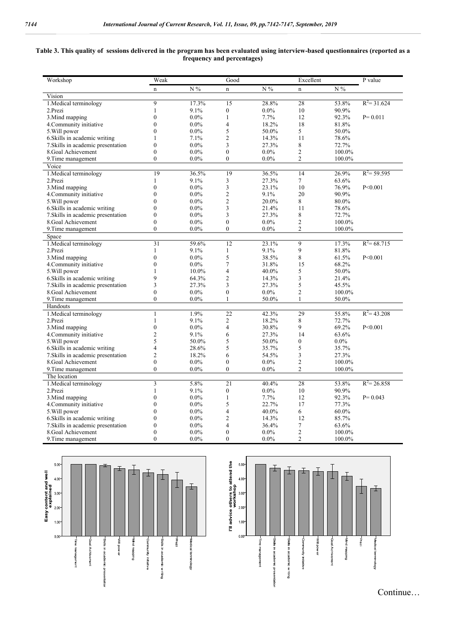#### **Table 3. This quality of sessions delivered in the program has been evaluated using interview-based questionnaires (reported as a frequency and percentages)**

| Workshop                           | Weak           |         | Good           |         | Excellent               |         | P value        |
|------------------------------------|----------------|---------|----------------|---------|-------------------------|---------|----------------|
|                                    | $\mathbf n$    | $N\%$   | $\mathbf n$    | $N\%$   | n                       | $N\%$   |                |
| Vision                             |                |         |                |         |                         |         |                |
| 1. Medical terminology             | $\overline{9}$ | 17.3%   | 15             | 28.8%   | 28                      | 53.8%   | $R^2 = 31.624$ |
| 2.Prezi                            | $\mathbf{1}$   | 9.1%    | $\mathbf{0}$   | $0.0\%$ | 10 <sup>10</sup>        | 90.9%   |                |
| 3. Mind mapping                    | $\theta$       | $0.0\%$ | $\mathbf{1}$   | 7.7%    | 12                      | 92.3%   | $P = 0.011$    |
| 4. Community initiative            | $\theta$       | $0.0\%$ | $\overline{4}$ | 18.2%   | 18                      | 81.8%   |                |
| 5. Will power                      | $\theta$       | $0.0\%$ | 5              | 50.0%   | 5                       | 50.0%   |                |
| 6. Skills in academic writing      | 1              | 7.1%    | $\overline{2}$ | 14.3%   | 11                      | 78.6%   |                |
| 7. Skills in academic presentation | $\theta$       | $0.0\%$ | 3              | 27.3%   | 8                       | 72.7%   |                |
| 8. Goal Achievement                | $\theta$       | $0.0\%$ | $\theta$       | $0.0\%$ | $\overline{2}$          | 100.0%  |                |
| 9. Time management                 | $\Omega$       | $0.0\%$ | $\theta$       | $0.0\%$ | $\overline{c}$          | 100.0%  |                |
| Voice                              |                |         |                |         |                         |         |                |
| 1. Medical terminology             | 19             | 36.5%   | 19             | 36.5%   | 14                      | 26.9%   | $R^2$ = 59.595 |
| 2.Prezi                            | 1              | 9.1%    | 3              | 27.3%   | $\tau$                  | 63.6%   |                |
| 3. Mind mapping                    | $\theta$       | $0.0\%$ | $\mathfrak z$  | 23.1%   | 10                      | 76.9%   | P < 0.001      |
| 4. Community initiative            | $\theta$       | $0.0\%$ | $\overline{2}$ | 9.1%    | 20                      | 90.9%   |                |
| 5. Will power                      | $\theta$       | $0.0\%$ | $\overline{2}$ | 20.0%   | 8                       | 80.0%   |                |
| 6. Skills in academic writing      | $\theta$       | $0.0\%$ | $\overline{3}$ | 21.4%   | 11                      | 78.6%   |                |
| 7. Skills in academic presentation | $\theta$       | $0.0\%$ | 3              | 27.3%   | 8                       | 72.7%   |                |
| 8. Goal Achievement                | $\theta$       | $0.0\%$ | $\theta$       | $0.0\%$ | $\overline{2}$          | 100.0%  |                |
| 9. Time management                 | $\Omega$       | $0.0\%$ | $\mathbf{0}$   | $0.0\%$ | $\overline{c}$          | 100.0%  |                |
| Space                              |                |         |                |         |                         |         |                |
| 1. Medical terminology             | 31             | 59.6%   | 12             | 23.1%   | $\overline{9}$          | 17.3%   | $R^2$ = 68.715 |
| 2.Prezi                            | $\mathbf{1}$   | 9.1%    | $\mathbf{1}$   | 9.1%    | 9                       | 81.8%   |                |
| 3. Mind mapping                    | $\theta$       | $0.0\%$ | 5              | 38.5%   | 8                       | 61.5%   | P < 0.001      |
| 4. Community initiative            | $\theta$       | $0.0\%$ | $\overline{7}$ | 31.8%   | 15                      | 68.2%   |                |
| 5. Will power                      | $\mathbf{1}$   | 10.0%   | $\overline{4}$ | 40.0%   | 5                       | 50.0%   |                |
| 6. Skills in academic writing      | $\mathbf Q$    | 64.3%   | $\overline{2}$ | 14.3%   | $\overline{\mathbf{3}}$ | 21.4%   |                |
| 7. Skills in academic presentation | 3              | 27.3%   | 3              | 27.3%   | 5                       | 45.5%   |                |
| 8. Goal Achievement                | $\theta$       | $0.0\%$ | $\mathbf{0}$   | $0.0\%$ | $\overline{c}$          | 100.0%  |                |
| 9. Time management                 | $\Omega$       | $0.0\%$ | $\mathbf{1}$   | 50.0%   | $\mathbf{1}$            | 50.0%   |                |
| Handouts                           |                |         |                |         |                         |         |                |
| 1. Medical terminology             | $\mathbf{1}$   | 1.9%    | 22             | 42.3%   | 29                      | 55.8%   | $R^2$ = 43.208 |
| 2.Prezi                            | $\mathbf{1}$   | 9.1%    | $\overline{2}$ | 18.2%   | 8                       | 72.7%   |                |
| 3. Mind mapping                    | $\theta$       | $0.0\%$ | $\overline{4}$ | 30.8%   | $\mathbf Q$             | 69.2%   | P < 0.001      |
| 4. Community initiative            | $\overline{2}$ | 9.1%    | 6              | 27.3%   | 14                      | 63.6%   |                |
| 5. Will power                      | 5              | 50.0%   | 5              | 50.0%   | $\mathbf{0}$            | $0.0\%$ |                |
| 6. Skills in academic writing      | $\overline{4}$ | 28.6%   | 5              | 35.7%   | 5                       | 35.7%   |                |
| 7. Skills in academic presentation | $\overline{2}$ | 18.2%   | 6              | 54.5%   | 3                       | 27.3%   |                |
| 8.Goal Achievement                 | $\theta$       | $0.0\%$ | $\theta$       | $0.0\%$ | $\overline{c}$          | 100.0%  |                |
| 9. Time management                 | $\Omega$       | $0.0\%$ | $\mathbf{0}$   | $0.0\%$ | $\overline{2}$          | 100.0%  |                |
| The location                       |                |         |                |         |                         |         |                |
| 1. Medical terminology             | 3              | 5.8%    | 21             | 40.4%   | 28                      | 53.8%   | $R^2 = 26.858$ |
| 2. Prezi                           | $\mathbf{1}$   | 9.1%    | $\mathbf{0}$   | $0.0\%$ | 10                      | 90.9%   |                |
| 3. Mind mapping                    | $\mathbf{0}$   | $0.0\%$ | $\mathbf{1}$   | 7.7%    | 12                      | 92.3%   | $P = 0.043$    |
| 4. Community initiative            | $\theta$       | $0.0\%$ | 5              | 22.7%   | 17                      | 77.3%   |                |
| 5. Will power                      | $\theta$       | $0.0\%$ | $\overline{4}$ | 40.0%   | 6                       | 60.0%   |                |
| 6. Skills in academic writing      | $\theta$       | $0.0\%$ | $\overline{2}$ | 14.3%   | 12                      | 85.7%   |                |
| 7. Skills in academic presentation | $\theta$       | $0.0\%$ | $\overline{4}$ | 36.4%   | $\tau$                  | 63.6%   |                |
| 8. Goal Achievement                | $\Omega$       | $0.0\%$ | $\theta$       | $0.0\%$ | $\overline{c}$          | 100.0%  |                |
| 9. Time management                 | $\theta$       | $0.0\%$ | $\theta$       | $0.0\%$ | $\overline{c}$          | 100.0%  |                |





Continue…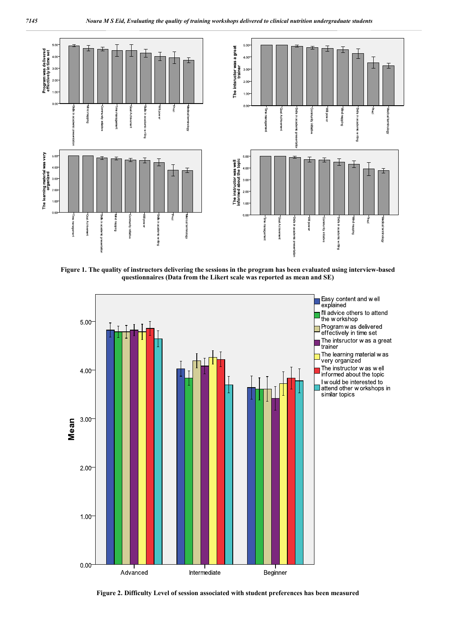

**Figure 1. The quality of instructors delivering the sessions in the program has been evaluated using interview-based questionnaires (Data from the Likert scale was reported as mean and SE)**



**Figure 2. Difficulty Level of session associated with student preferences has been measured**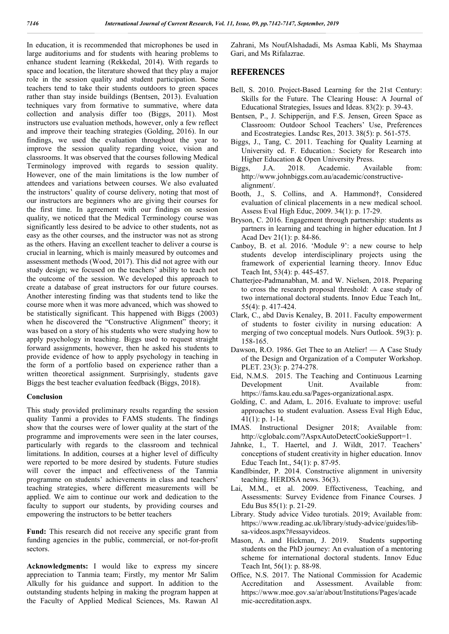In education, it is recommended that microphones be used in large auditoriums and for students with hearing problems to enhance student learning (Rekkedal, 2014). With regards to space and location, the literature showed that they play a major role in the session quality and student participation. Some teachers tend to take their students outdoors to green spaces rather than stay inside buildings (Bentsen, 2013). Evaluation techniques vary from formative to summative, where data collection and analysis differ too (Biggs, 2011). Most instructors use evaluation methods, however, only a few reflect and improve their teaching strategies (Golding, 2016). In our findings, we used the evaluation throughout the year to improve the session quality regarding voice, vision and classrooms. It was observed that the courses following Medical Terminology improved with regards to session quality. However, one of the main limitations is the low number of attendees and variations between courses. We also evaluated the instructors' quality of course delivery, noting that most of our instructors are beginners who are giving their courses for the first time. In agreement with our findings on session quality, we noticed that the Medical Terminology course was significantly less desired to be advice to other students, not as easy as the other courses, and the instructor was not as strong as the others. Having an excellent teacher to deliver a course is crucial in learning, which is mainly measured by outcomes and assessment methods (Wood, 2017). This did not agree with our study design; we focused on the teachers' ability to teach not the outcome of the session. We developed this approach to create a database of great instructors for our future courses. Another interesting finding was that students tend to like the course more when it was more advanced, which was showed to be statistically significant. This happened with Biggs (2003) when he discovered the "Constructive Alignment" theory; it was based on a story of his students who were studying how to apply psychology in teaching. Biggs used to request straight forward assignments, however, then he asked his students to provide evidence of how to apply psychology in teaching in the form of a portfolio based on experience rather than a written theoretical assignment. Surprisingly, students gave Biggs the best teacher evaluation feedback (Biggs, 2018).

#### **Conclusion**

This study provided preliminary results regarding the session quality Tanmi a provides to FAMS students. The findings show that the courses were of lower quality at the start of the programme and improvements were seen in the later courses, particularly with regards to the classroom and technical limitations. In addition, courses at a higher level of difficulty were reported to be more desired by students. Future studies will cover the impact and effectiveness of the Tanmia programme on students' achievements in class and teachers' teaching strategies, where different measurements will be applied. We aim to continue our work and dedication to the faculty to support our students, by providing courses and empowering the instructors to be better teachers

**Fund:** This research did not receive any specific grant from funding agencies in the public, commercial, or not-for-profit sectors.

**Acknowledgments:** I would like to express my sincere appreciation to Tanmia team; Firstly, my mentor Mr Salim Alkully for his guidance and support. In addition to the outstanding students helping in making the program happen at the Faculty of Applied Medical Sciences, Ms. Rawan Al

Zahrani, Ms NoufAlshadadi, Ms Asmaa Kabli, Ms Shaymaa Gari, and Ms Rifalazrae.

### **REFERENCES**

- Bell, S. 2010. Project-Based Learning for the 21st Century: Skills for the Future. The Clearing House: A Journal of Educational Strategies, Issues and Ideas. 83(2): p. 39-43.
- Bentsen, P., J. Schipperijn, and F.S. Jensen, Green Space as Classroom: Outdoor School Teachers' Use, Preferences and Ecostrategies. Landsc Res, 2013. 38(5): p. 561-575.
- Biggs, J., Tang, C. 2011. Teaching for Quality Learning at University ed. F. Education.: Society for Research into Higher Education & Open University Press.
- Biggs, J.A. 2018. Academic. Available from: http://www.johnbiggs.com.au/academic/constructivealignment/.
- Booth, J., S. Collins, and A. Hammond†, Considered evaluation of clinical placements in a new medical school. Assess Eval High Educ, 2009. 34(1): p. 17-29.
- Bryson, C. 2016. Engagement through partnership: students as partners in learning and teaching in higher education. Int J Acad Dev 21(1): p. 84-86.
- Canboy, B. et al. 2016. 'Module 9': a new course to help students develop interdisciplinary projects using the framework of experiential learning theory. Innov Educ Teach Int, 53(4): p. 445-457.
- Chatterjee-Padmanabhan, M. and W. Nielsen, 2018. Preparing to cross the research proposal threshold: A case study of two international doctoral students. Innov Educ Teach Int,. 55(4): p. 417-424.
- Clark, C., abd Davis Kenaley, B. 2011. Faculty empowerment of students to foster civility in nursing education: A merging of two conceptual models. Nurs Outlook. 59(3): p. 158-165.
- Dawson, R.O. 1986. Get Thee to an Atelier! A Case Study of the Design and Organization of a Computer Workshop. PLET. 23(3): p. 274-278.
- Eid, N.M.S. 2015. The Teaching and Continuous Learning Development Unit. Available from: https://fams.kau.edu.sa/Pages-organizational.aspx.
- Golding, C. and Adam, L. 2016. Evaluate to improve: useful approaches to student evaluation. Assess Eval High Educ, 41(1): p. 1-14.
- IMAS. Instructional Designer 2018; Available from: http://cglobalc.com/?AspxAutoDetectCookieSupport=1.
- Jahnke, I., T. Haertel, and J. Wildt, 2017. Teachers' conceptions of student creativity in higher education. Innov Educ Teach Int., 54(1): p. 87-95.
- Kandlbinder, P. 2014. Constructive alignment in university teaching. HERDSA news. 36(3).
- Lai, M.M., et al. 2009. Effectiveness, Teaching, and Assessments: Survey Evidence from Finance Courses. J Edu Bus 85(1): p. 21-29.
- Library. Study advice Video turotials. 2019; Available from: https://www.reading.ac.uk/library/study-advice/guides/libsa-videos.aspx?#essayvideos.
- Mason, A. and Hickman, J. 2019. Students supporting students on the PhD journey: An evaluation of a mentoring scheme for international doctoral students. Innov Educ Teach Int, 56(1): p. 88-98.
- Office, N.S. 2017. The National Commission for Academic Accreditation and Assessment. Available from: https://www.moe.gov.sa/ar/about/Institutions/Pages/acade mic-accreditation.aspx.